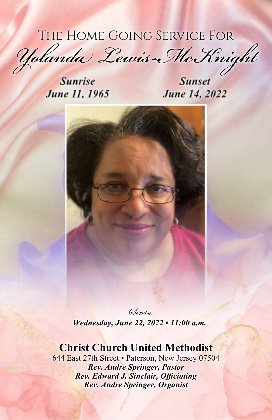## The Home Going Service For

*Yolanda Lewis-McKnight*

**Sunrise** June 11, 1965

June 14, 2022



Service *Wednesday, June 22, 2022 • 11:00 a.m.*

## **Christ Church United Methodist**

644 East 27th Street • Paterson, New Jersey 07504 *Rev. Andre Springer, Pastor Rev. Edward J. Sinclair, Officiating Rev. Andre Springer, Organist*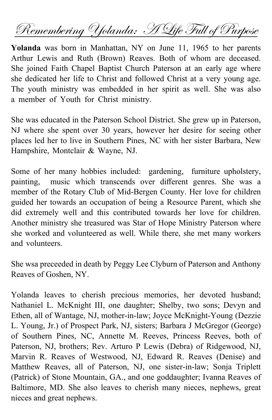Remembering Yolanda: H Life Full of Purpose

**Yolanda** was born in Manhattan, NY on June 11, 1965 to her parents Arthur Lewis and Ruth (Brown) Reaves. Both of whom are deceased. She joined Faith Chapel Baptist Church Paterson at an early age where she dedicated her life to Christ and followed Christ at a very young age. The youth ministry was embedded in her spirit as well. She was also a member of Youth for Christ ministry.

She was educated in the Paterson School District. She grew up in Paterson, NJ where she spent over 30 years, however her desire for seeing other places led her to live in Southern Pines, NC with her sister Barbara, New Hampshire, Montclair & Wayne, NJ.

Some of her many hobbies included: gardening, furniture upholstery, painting, music which transcends over different genres. She was a member of the Rotary Club of Mid-Bergen County. Her love for children guided her towards an occupation of being a Resource Parent, which she did extremely well and this contributed towards her love for children. Another ministry she treasured was Star of Hope Ministry Paterson where she worked and volunteered as well. While there, she met many workers and volunteers.

She wsa preceeded in death by Peggy Lee Clyburn of Paterson and Anthony Reaves of Goshen, NY.

Yolanda leaves to cherish precious memories, her devoted husband; Nathaniel L. McKnight III, one daughter; Shelby, two sons; Devyn and Ethen, all of Wantage, NJ, mother-in-law; Joyce McKnight-Young (Dezzie L. Young, Jr.) of Prospect Park, NJ, sisters; Barbara J McGregor (George) of Southern Pines, NC, Annette M. Reeves, Princess Reeves, both of Paterson, NJ, brothers; Rev. Arturo P Lewis (Debra) of Ridgewood, NJ, Marvin R. Reaves of Westwood, NJ, Edward R. Reaves (Denise) and Matthew Reaves, all of Paterson, NJ, one sister-in-law; Sonja Triplett (Patrick) of Stone Mountain, GA., and one goddaughter; Ivanna Reaves of Baltimore, MD. She also leaves to cherish many nieces, nephews, great nieces and great nephews.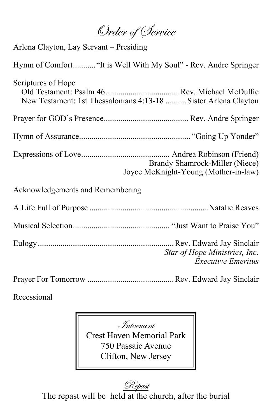Order of Service

Arlena Clayton, Lay Servant – Presiding

Hymn of Comfort..........."It is Well With My Soul" - Rev. Andre Springer

| Scriptures of Hope<br>New Testament: 1st Thessalonians 4:13-18  Sister Arlena Clayton |                                                                        |
|---------------------------------------------------------------------------------------|------------------------------------------------------------------------|
|                                                                                       |                                                                        |
|                                                                                       |                                                                        |
|                                                                                       | Brandy Shamrock-Miller (Niece)<br>Joyce McKnight-Young (Mother-in-law) |
| Acknowledgements and Remembering                                                      |                                                                        |
|                                                                                       |                                                                        |
|                                                                                       |                                                                        |
|                                                                                       | Star of Hope Ministries, Inc.<br><b>Executive Emeritus</b>             |
|                                                                                       |                                                                        |

Recessional

Interment Crest Haven Memorial Park 750 Passaic Avenue Clifton, New Jersey

Repast The repast will be held at the church, after the burial